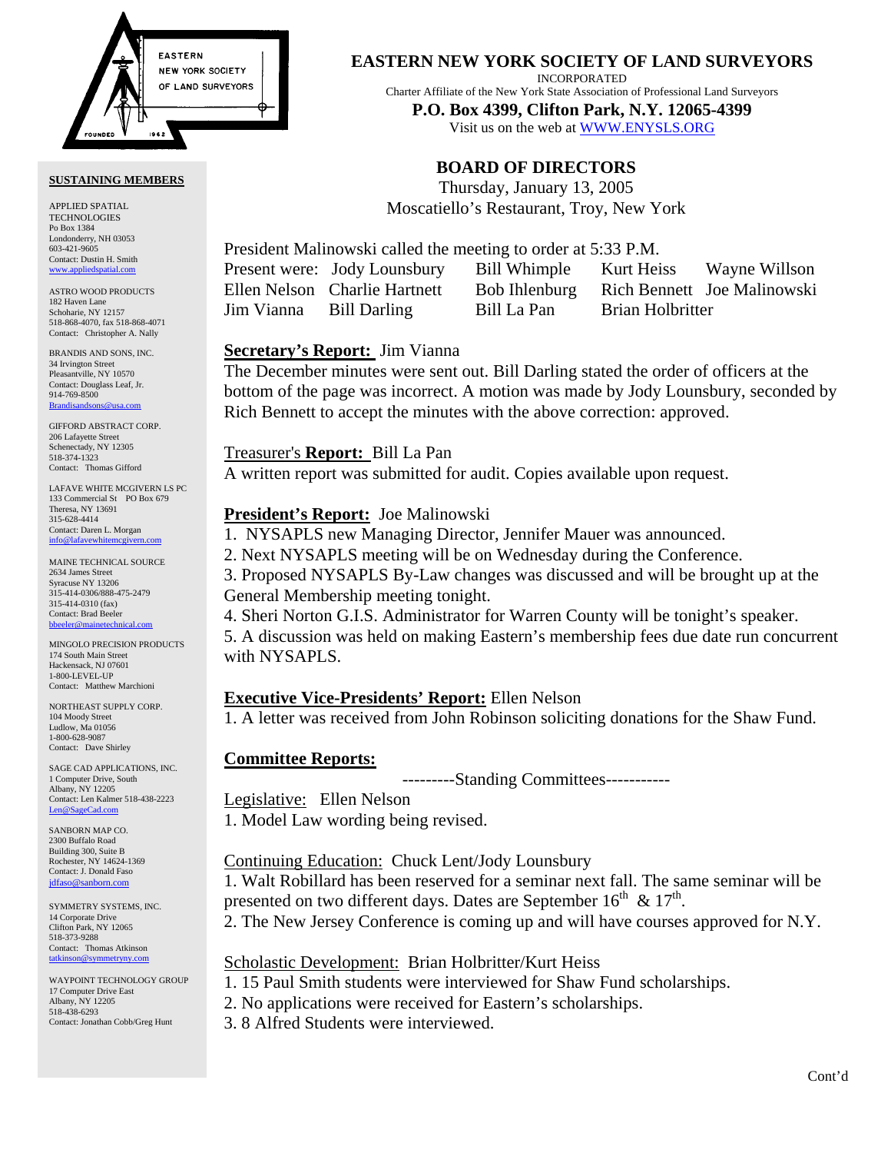

### **SUSTAINING MEMBERS**

APPLIED SPATIAL TECHNOLOGIES Po Box 1384 Londonderry, NH 03053 603-421-9605 Contact: Dustin H. Smith <www.appliedspatial.com>

ASTRO WOOD PRODUCTS 182 Haven Lane Schoharie, NY 12157 518-868-4070, fax 518-868-4071 Contact: Christopher A. Nally

BRANDIS AND SONS, INC. 34 Irvington Street Pleasantville, NY 10570 Contact: Douglass Leaf, Jr. 914-769-8500 [Brandisandsons@usa.com](mailto:brandisandsons@usa.com)

GIFFORD ABSTRACT CORP. 206 Lafayette Street Schenectady, NY 12305 518-374-1323 Contact: Thomas Gifford

LAFAVE WHITE MCGIVERN LS PC 133 Commercial St PO Box 679 Theresa, NY 13691 315-628-4414 Contact: Daren L. Morgan [info@lafavewhitemcgivern.com](mailto:info@lafavewhitemcgivern.com)

MAINE TECHNICAL SOURCE 2634 James Street Syracuse NY 13206 315-414-0306/888-475-2479 315-414-0310 (fax) Contact: Brad Beeler [bbeeler@mainetechnical.com](mailto:bbeeler@mainetechnical.com)

MINGOLO PRECISION PRODUCTS 174 South Main Street Hackensack, NJ 07601 1-800-LEVEL-UP Contact: Matthew Marchioni

NORTHEAST SUPPLY CORP. 104 Moody Street Ludlow, Ma 01056 1-800-628-9087 Contact: Dave Shirley

SAGE CAD APPLICATIONS, INC. 1 Computer Drive, South Albany, NY 12205 Contact: Len Kalmer 518-438-2223 [Len@SageCad.com](mailto:len@sagecad.com)

SANBORN MAP CO. 2300 Buffalo Road Building 300, Suite B Rochester, NY 14624-1369 Contact: J. Donald Faso [jdfaso@sanborn.com](mailto:jdfaso@sanborn.com)

SYMMETRY SYSTEMS, INC. 14 Corporate Drive Clifton Park, NY 12065 518-373-9288 Contact: Thomas Atkinson [tatkinson@symmetryny.com](mailto:tatkinson@symmetryny.com)

WAYPOINT TECHNOLOGY GROUP 17 Computer Drive East Albany, NY 12205 518-438-6293 Contact: Jonathan Cobb/Greg Hunt

**EASTERN NEW YORK SOCIETY OF LAND SURVEYORS**

INCORPORATED

Charter Affiliate of the New York State Association of Professional Land Surveyors

**P.O. Box 4399, Clifton Park, N.Y. 12065-4399**  Visit us on the web a[t WWW.ENYSLS.ORG](www.enysls.org)

# **BOARD OF DIRECTORS**

Thursday, January 13, 2005 Moscatiello's Restaurant, Troy, New York

President Malinowski called the meeting to order at 5:33 P.M.

Jim Vianna Bill Darling Bill La Pan Brian Holbritter

Present were: Jody Lounsbury Bill Whimple Kurt Heiss Wayne Willson Ellen Nelson Charlie Hartnett Bob Ihlenburg Rich Bennett Joe Malinowski

## **Secretary's Report:** Jim Vianna

The December minutes were sent out. Bill Darling stated the order of officers at the bottom of the page was incorrect. A motion was made by Jody Lounsbury, seconded by Rich Bennett to accept the minutes with the above correction: approved.

## Treasurer's **Report:** Bill La Pan

A written report was submitted for audit. Copies available upon request.

## **President's Report:** Joe Malinowski

1. NYSAPLS new Managing Director, Jennifer Mauer was announced.

2. Next NYSAPLS meeting will be on Wednesday during the Conference.

3. Proposed NYSAPLS By-Law changes was discussed and will be brought up at the General Membership meeting tonight.

4. Sheri Norton G.I.S. Administrator for Warren County will be tonight's speaker. 5. A discussion was held on making Eastern's membership fees due date run concurrent with NYSAPLS.

## **Executive Vice-Presidents' Report:** Ellen Nelson

1. A letter was received from John Robinson soliciting donations for the Shaw Fund.

## **Committee Reports:**

---------Standing Committees-----------

# Legislative: Ellen Nelson

1. Model Law wording being revised.

Continuing Education: Chuck Lent/Jody Lounsbury

1. Walt Robillard has been reserved for a seminar next fall. The same seminar will be presented on two different days. Dates are September  $16<sup>th</sup> \& 17<sup>th</sup>$ .

2. The New Jersey Conference is coming up and will have courses approved for N.Y.

## Scholastic Development: Brian Holbritter/Kurt Heiss

1. 15 Paul Smith students were interviewed for Shaw Fund scholarships.

- 2. No applications were received for Eastern's scholarships.
- 3. 8 Alfred Students were interviewed.